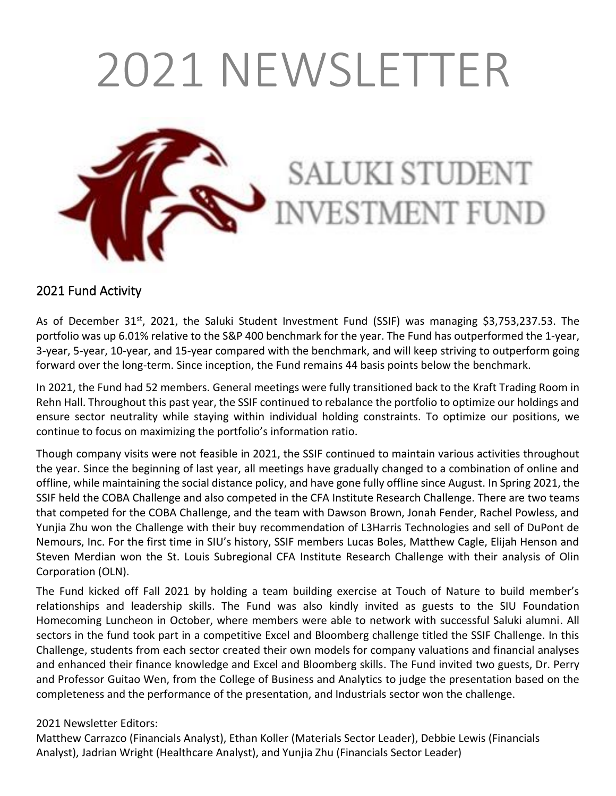# 2021 NEWSLETTER

**SALUKI STUDENT** 

NVESTMENT FUND



## 2021 Fund Activity

As of December  $31^{st}$ , 2021, the Saluki Student Investment Fund (SSIF) was managing \$3,753,237.53. The portfolio was up 6.01% relative to the S&P 400 benchmark for the year. The Fund has outperformed the 1-year, 3-year, 5-year, 10-year, and 15-year compared with the benchmark, and will keep striving to outperform going forward over the long-term. Since inception, the Fund remains 44 basis points below the benchmark.

In 2021, the Fund had 52 members. General meetings were fully transitioned back to the Kraft Trading Room in Rehn Hall. Throughout this past year, the SSIF continued to rebalance the portfolio to optimize our holdings and ensure sector neutrality while staying within individual holding constraints. To optimize our positions, we continue to focus on maximizing the portfolio's information ratio.

Though company visits were not feasible in 2021, the SSIF continued to maintain various activities throughout the year. Since the beginning of last year, all meetings have gradually changed to a combination of online and offline, while maintaining the social distance policy, and have gone fully offline since August. In Spring 2021, the SSIF held the COBA Challenge and also competed in the CFA Institute Research Challenge. There are two teams that competed for the COBA Challenge, and the team with Dawson Brown, Jonah Fender, Rachel Powless, and Yunjia Zhu won the Challenge with their buy recommendation of L3Harris Technologies and sell of DuPont de Nemours, Inc. For the first time in SIU's history, SSIF members Lucas Boles, Matthew Cagle, Elijah Henson and Steven Merdian won the St. Louis Subregional CFA Institute Research Challenge with their analysis of Olin Corporation (OLN).

The Fund kicked off Fall 2021 by holding a team building exercise at Touch of Nature to build member's relationships and leadership skills. The Fund was also kindly invited as guests to the SIU Foundation Homecoming Luncheon in October, where members were able to network with successful Saluki alumni. All sectors in the fund took part in a competitive Excel and Bloomberg challenge titled the SSIF Challenge. In this Challenge, students from each sector created their own models for company valuations and financial analyses and enhanced their finance knowledge and Excel and Bloomberg skills. The Fund invited two guests, Dr. Perry and Professor Guitao Wen, from the College of Business and Analytics to judge the presentation based on the completeness and the performance of the presentation, and Industrials sector won the challenge.

#### 2021 Newsletter Editors:

Matthew Carrazco (Financials Analyst), Ethan Koller (Materials Sector Leader), Debbie Lewis (Financials Analyst), Jadrian Wright (Healthcare Analyst), and Yunjia Zhu (Financials Sector Leader)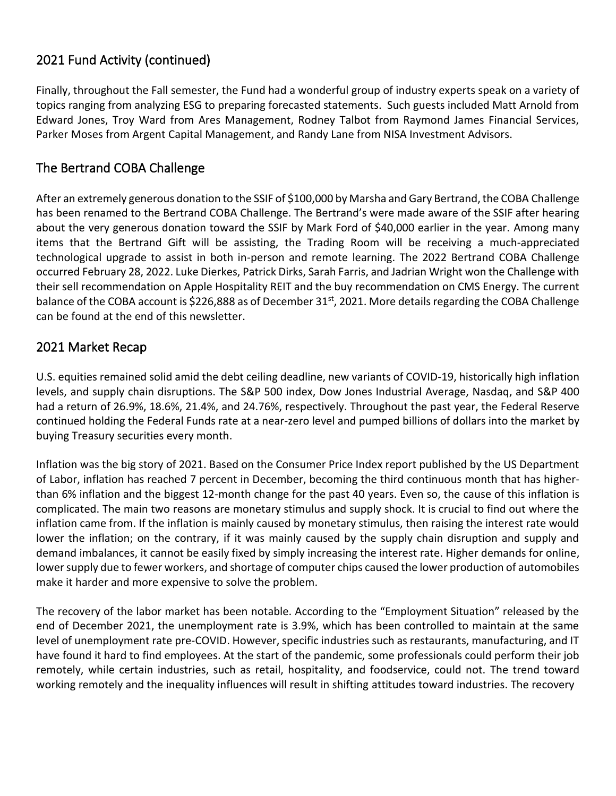#### 2021 Fund Activity (continued)

Finally, throughout the Fall semester, the Fund had a wonderful group of industry experts speak on a variety of topics ranging from analyzing ESG to preparing forecasted statements. Such guests included Matt Arnold from Edward Jones, Troy Ward from Ares Management, Rodney Talbot from Raymond James Financial Services, Parker Moses from Argent Capital Management, and Randy Lane from NISA Investment Advisors.

#### The Bertrand COBA Challenge

After an extremely generous donation to the SSIF of \$100,000 by Marsha and Gary Bertrand, the COBA Challenge has been renamed to the Bertrand COBA Challenge. The Bertrand's were made aware of the SSIF after hearing about the very generous donation toward the SSIF by Mark Ford of \$40,000 earlier in the year. Among many items that the Bertrand Gift will be assisting, the Trading Room will be receiving a much-appreciated technological upgrade to assist in both in-person and remote learning. The 2022 Bertrand COBA Challenge occurred February 28, 2022. Luke Dierkes, Patrick Dirks, Sarah Farris, and Jadrian Wright won the Challenge with their sell recommendation on Apple Hospitality REIT and the buy recommendation on CMS Energy. The current balance of the COBA account is \$226,888 as of December 31<sup>st</sup>, 2021. More details regarding the COBA Challenge can be found at the end of this newsletter.

#### 2021 Market Recap

U.S. equities remained solid amid the debt ceiling deadline, new variants of COVID-19, historically high inflation levels, and supply chain disruptions. The S&P 500 index, Dow Jones Industrial Average, Nasdaq, and S&P 400 had a return of 26.9%, 18.6%, 21.4%, and 24.76%, respectively. Throughout the past year, the Federal Reserve continued holding the Federal Funds rate at a near-zero level and pumped billions of dollars into the market by buying Treasury securities every month.

Inflation was the big story of 2021. Based on the Consumer Price Index report published by the US Department of Labor, inflation has reached 7 percent in December, becoming the third continuous month that has higherthan 6% inflation and the biggest 12-month change for the past 40 years. Even so, the cause of this inflation is complicated. The main two reasons are monetary stimulus and supply shock. It is crucial to find out where the inflation came from. If the inflation is mainly caused by monetary stimulus, then raising the interest rate would lower the inflation; on the contrary, if it was mainly caused by the supply chain disruption and supply and demand imbalances, it cannot be easily fixed by simply increasing the interest rate. Higher demands for online, lower supply due to fewer workers, and shortage of computer chips caused the lower production of automobiles make it harder and more expensive to solve the problem.

The recovery of the labor market has been notable. According to the "Employment Situation" released by the end of December 2021, the unemployment rate is 3.9%, which has been controlled to maintain at the same level of unemployment rate pre-COVID. However, specific industries such as restaurants, manufacturing, and IT have found it hard to find employees. At the start of the pandemic, some professionals could perform their job remotely, while certain industries, such as retail, hospitality, and foodservice, could not. The trend toward working remotely and the inequality influences will result in shifting attitudes toward industries. The recovery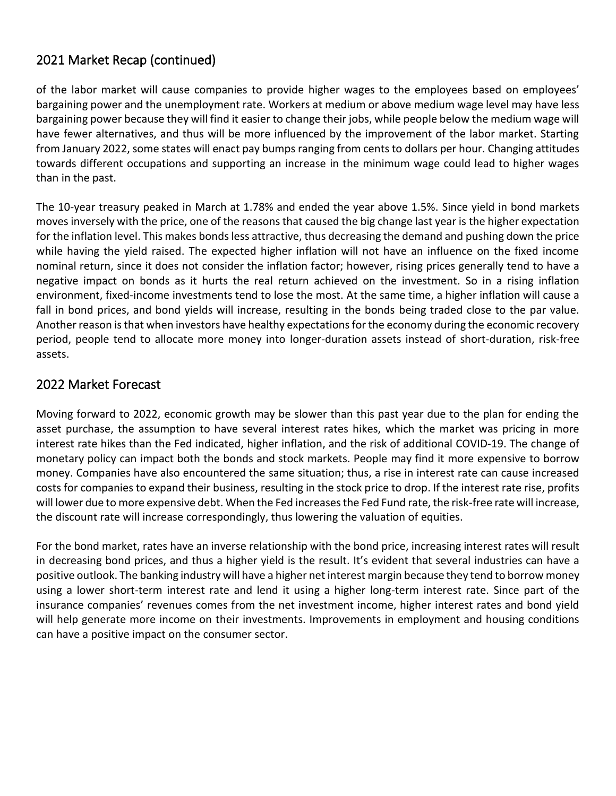#### 2021 Market Recap (continued)

of the labor market will cause companies to provide higher wages to the employees based on employees' bargaining power and the unemployment rate. Workers at medium or above medium wage level may have less bargaining power because they will find it easier to change their jobs, while people below the medium wage will have fewer alternatives, and thus will be more influenced by the improvement of the labor market. Starting from January 2022, some states will enact pay bumps ranging from cents to dollars per hour. Changing attitudes towards different occupations and supporting an increase in the minimum wage could lead to higher wages than in the past.

The 10-year treasury peaked in March at 1.78% and ended the year above 1.5%. Since yield in bond markets moves inversely with the price, one of the reasons that caused the big change last year is the higher expectation for the inflation level. This makes bonds less attractive, thus decreasing the demand and pushing down the price while having the yield raised. The expected higher inflation will not have an influence on the fixed income nominal return, since it does not consider the inflation factor; however, rising prices generally tend to have a negative impact on bonds as it hurts the real return achieved on the investment. So in a rising inflation environment, fixed-income investments tend to lose the most. At the same time, a higher inflation will cause a fall in bond prices, and bond yields will increase, resulting in the bonds being traded close to the par value. Another reason is that when investors have healthy expectations for the economy during the economic recovery period, people tend to allocate more money into longer-duration assets instead of short-duration, risk-free assets.

#### 2022 Market Forecast

Moving forward to 2022, economic growth may be slower than this past year due to the plan for ending the asset purchase, the assumption to have several interest rates hikes, which the market was pricing in more interest rate hikes than the Fed indicated, higher inflation, and the risk of additional COVID-19. The change of monetary policy can impact both the bonds and stock markets. People may find it more expensive to borrow money. Companies have also encountered the same situation; thus, a rise in interest rate can cause increased costs for companies to expand their business, resulting in the stock price to drop. If the interest rate rise, profits will lower due to more expensive debt. When the Fed increases the Fed Fund rate, the risk-free rate will increase, the discount rate will increase correspondingly, thus lowering the valuation of equities.

For the bond market, rates have an inverse relationship with the bond price, increasing interest rates will result in decreasing bond prices, and thus a higher yield is the result. It's evident that several industries can have a positive outlook. The banking industry will have a higher net interest margin because they tend to borrow money using a lower short-term interest rate and lend it using a higher long-term interest rate. Since part of the insurance companies' revenues comes from the net investment income, higher interest rates and bond yield will help generate more income on their investments. Improvements in employment and housing conditions can have a positive impact on the consumer sector.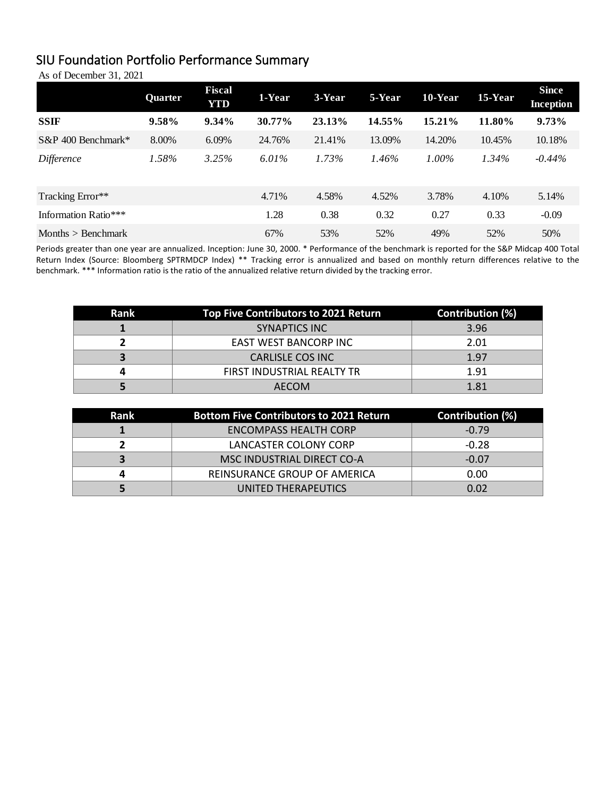#### SIU Foundation Portfolio Performance Summary

As of December 31, 2021

|                       | Quarter | <b>Fiscal</b><br><b>YTD</b> | 1-Year | 3-Year | 5-Year | 10-Year  | 15-Year  | <b>Since</b><br><b>Inception</b> |
|-----------------------|---------|-----------------------------|--------|--------|--------|----------|----------|----------------------------------|
| <b>SSIF</b>           | 9.58%   | $9.34\%$                    | 30.77% | 23.13% | 14.55% | 15.21%   | 11.80%   | 9.73%                            |
| $S\&P$ 400 Benchmark* | 8.00%   | 6.09%                       | 24.76% | 21.41% | 13.09% | 14.20%   | 10.45%   | 10.18%                           |
| Difference            | 1.58%   | 3.25%                       | 6.01%  | 1.73%  | 1.46%  | $1.00\%$ | $1.34\%$ | $-0.44\%$                        |
| Tracking Error**      |         |                             | 4.71%  | 4.58%  | 4.52%  | 3.78%    | 4.10%    | 5.14%                            |
| Information Ratio**** |         |                             | 1.28   | 0.38   | 0.32   | 0.27     | 0.33     | $-0.09$                          |
| Months $>$ Benchmark  |         |                             | 67%    | 53%    | 52%    | 49%      | 52%      | 50%                              |

Periods greater than one year are annualized. Inception: June 30, 2000. \* Performance of the benchmark is reported for the S&P Midcap 400 Total Return Index (Source: Bloomberg SPTRMDCP Index) \*\* Tracking error is annualized and based on monthly return differences relative to the benchmark. \*\*\* Information ratio is the ratio of the annualized relative return divided by the tracking error.

| Rank | Top Five Contributors to 2021 Return | Contribution (%) |
|------|--------------------------------------|------------------|
|      | SYNAPTICS INC                        | 3.96             |
|      | EAST WEST BANCORP INC                | 2.01             |
|      | <b>CARLISLE COS INC</b>              | 1.97             |
|      | FIRST INDUSTRIAL REALTY TR           | 1.91             |
|      | <b>AECOM</b>                         | 1.81             |

| Rank | <b>Bottom Five Contributors to 2021 Return</b> | <b>Contribution (%)</b> |
|------|------------------------------------------------|-------------------------|
|      | <b>ENCOMPASS HEALTH CORP</b>                   | $-0.79$                 |
|      | LANCASTER COLONY CORP                          | $-0.28$                 |
|      | MSC INDUSTRIAL DIRECT CO-A                     | $-0.07$                 |
|      | REINSURANCE GROUP OF AMERICA                   | 0.00                    |
|      | UNITED THERAPEUTICS                            | 0.02                    |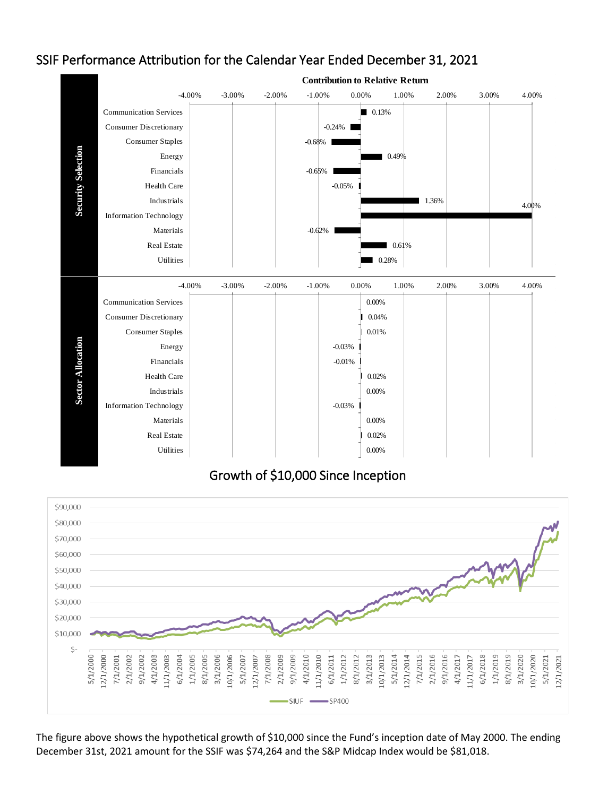

#### SSIF Performance Attribution for the Calendar Year Ended December 31, 2021

Growth of \$10,000 Since Inception



The figure above shows the hypothetical growth of \$10,000 since the Fund's inception date of May 2000. The ending December 31st, 2021 amount for the SSIF was \$74,264 and the S&P Midcap Index would be \$81,018.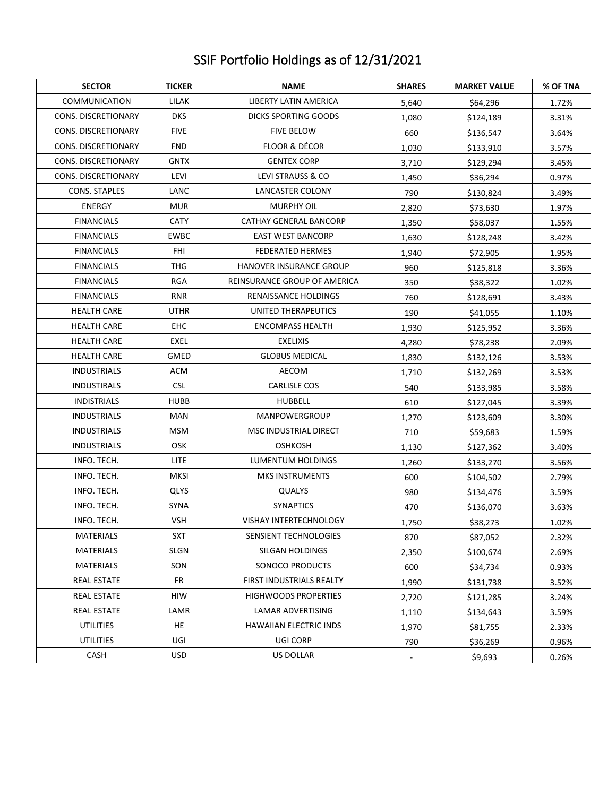### SSIF Portfolio Holdings as of 12/31/2021

| <b>SECTOR</b>              | <b>TICKER</b> | <b>NAME</b>                   | <b>SHARES</b> | <b>MARKET VALUE</b> | % OF TNA |
|----------------------------|---------------|-------------------------------|---------------|---------------------|----------|
| <b>COMMUNICATION</b>       | LILAK         | LIBERTY LATIN AMERICA         | 5,640         | \$64,296            | 1.72%    |
| <b>CONS. DISCRETIONARY</b> | <b>DKS</b>    | <b>DICKS SPORTING GOODS</b>   | 1,080         | \$124,189           | 3.31%    |
| CONS. DISCRETIONARY        | <b>FIVE</b>   | <b>FIVE BELOW</b>             | 660           | \$136,547           | 3.64%    |
| <b>CONS. DISCRETIONARY</b> | <b>FND</b>    | <b>FLOOR &amp; DÉCOR</b>      | 1,030         | \$133,910           | 3.57%    |
| CONS. DISCRETIONARY        | <b>GNTX</b>   | <b>GENTEX CORP</b>            | 3,710         | \$129,294           | 3.45%    |
| CONS. DISCRETIONARY        | LEVI          | LEVI STRAUSS & CO             | 1,450         | \$36,294            | 0.97%    |
| <b>CONS. STAPLES</b>       | LANC          | LANCASTER COLONY              |               | \$130,824           | 3.49%    |
| <b>ENERGY</b>              | MUR           | <b>MURPHY OIL</b>             | 2,820         | \$73,630            | 1.97%    |
| <b>FINANCIALS</b>          | <b>CATY</b>   | CATHAY GENERAL BANCORP        | 1,350         | \$58,037            | 1.55%    |
| <b>FINANCIALS</b>          | <b>EWBC</b>   | <b>EAST WEST BANCORP</b>      | 1,630         | \$128,248           | 3.42%    |
| <b>FINANCIALS</b>          | <b>FHI</b>    | <b>FEDERATED HERMES</b>       | 1,940         | \$72,905            | 1.95%    |
| <b>FINANCIALS</b>          | THG           | HANOVER INSURANCE GROUP       | 960           | \$125,818           | 3.36%    |
| <b>FINANCIALS</b>          | RGA           | REINSURANCE GROUP OF AMERICA  | 350           | \$38,322            | 1.02%    |
| <b>FINANCIALS</b>          | <b>RNR</b>    | RENAISSANCE HOLDINGS          | 760           | \$128,691           | 3.43%    |
| <b>HEALTH CARE</b>         | <b>UTHR</b>   | UNITED THERAPEUTICS           | 190           | \$41,055            | 1.10%    |
| <b>HEALTH CARE</b>         | EHC           | <b>ENCOMPASS HEALTH</b>       | 1,930         | \$125,952           | 3.36%    |
| <b>HEALTH CARE</b>         | EXEL          | <b>EXELIXIS</b>               | 4,280         | \$78,238            | 2.09%    |
| <b>HEALTH CARE</b>         | GMED          | <b>GLOBUS MEDICAL</b>         | 1,830         | \$132,126           | 3.53%    |
| <b>INDUSTRIALS</b>         | ACM           | AECOM                         | 1,710         | \$132,269           | 3.53%    |
| <b>INDUSTIRALS</b>         | <b>CSL</b>    | <b>CARLISLE COS</b>           | 540           | \$133,985           | 3.58%    |
| <b>INDISTRIALS</b>         | <b>HUBB</b>   | <b>HUBBELL</b>                | 610           | \$127,045           | 3.39%    |
| <b>INDUSTRIALS</b>         | <b>MAN</b>    | MANPOWERGROUP                 | 1,270         | \$123,609           | 3.30%    |
| <b>INDUSTRIALS</b>         | MSM           | MSC INDUSTRIAL DIRECT         | 710           | \$59,683            | 1.59%    |
| <b>INDUSTRIALS</b>         | OSK           | <b>OSHKOSH</b>                | 1,130         | \$127,362           | 3.40%    |
| INFO. TECH.                | LITE.         | LUMENTUM HOLDINGS             | 1,260         | \$133,270           | 3.56%    |
| INFO. TECH.                | MKSI          | <b>MKS INSTRUMENTS</b>        | 600           | \$104,502           | 2.79%    |
| INFO. TECH.                | <b>QLYS</b>   | <b>QUALYS</b>                 | 980           | \$134,476           | 3.59%    |
| INFO. TECH.                | <b>SYNA</b>   | <b>SYNAPTICS</b>              | 470           | \$136,070           | 3.63%    |
| INFO. TECH.                | <b>VSH</b>    | <b>VISHAY INTERTECHNOLOGY</b> | 1,750         | \$38,273            | 1.02%    |
| <b>MATERIALS</b>           | <b>SXT</b>    | SENSIENT TECHNOLOGIES         | 870           | \$87,052            | 2.32%    |
| <b>MATERIALS</b>           | SLGN          | SILGAN HOLDINGS               | 2,350         | \$100,674           | 2.69%    |
| <b>MATERIALS</b>           | SON           | SONOCO PRODUCTS               | 600           | \$34,734            | 0.93%    |
| <b>REAL ESTATE</b>         | FR            | FIRST INDUSTRIALS REALTY      | 1,990         | \$131,738           | 3.52%    |
| <b>REAL ESTATE</b>         | <b>HIW</b>    | <b>HIGHWOODS PROPERTIES</b>   | 2,720         | \$121,285           | 3.24%    |
| <b>REAL ESTATE</b>         | LAMR          | LAMAR ADVERTISING<br>1,110    |               | \$134,643           | 3.59%    |
| <b>UTILITIES</b>           | HE            | <b>HAWAIIAN ELECTRIC INDS</b> | 1,970         | \$81,755            | 2.33%    |
| <b>UTILITIES</b>           | UGI           | UGI CORP                      | 790           | \$36,269            | 0.96%    |
| CASH                       | <b>USD</b>    | US DOLLAR                     |               | \$9,693             | 0.26%    |